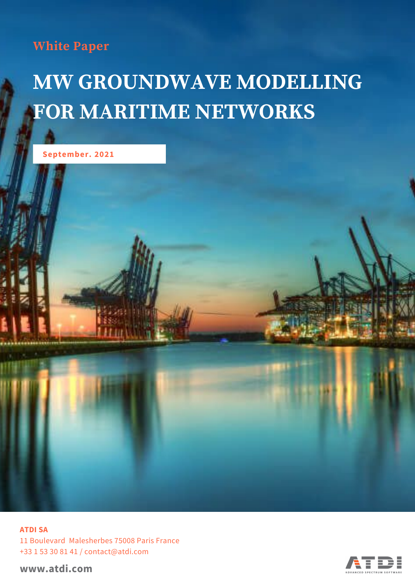### **White Paper**

# **MW GROUNDWAVE MODELLING FOR MARITIME NETWORKS**

**September. 2021**

**ATDI SA** 11 Boulevard Malesherbes 75008 Paris France +33 1 53 30 81 41 / contact@atdi.com

**www.atdi.com**

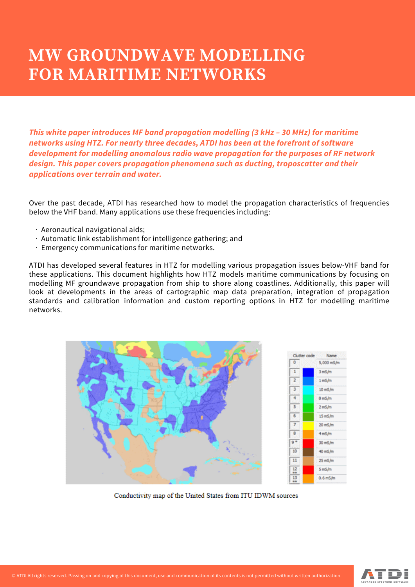*This white paper introduces MF band propagation modelling (3 kHz – 30 MHz) for maritime networks using HTZ. For nearly three decades, ATDI has been at the forefront of software development for modelling anomalous radio wave propagation for the purposes of RF network design. This paper covers propagation phenomena such as ducting, troposcatter and their applications over terrain and water.*

Over the past decade, ATDI has researched how to model the propagation characteristics of frequencies below the VHF band. Many applications use these frequencies including:

- · Aeronautical navigational aids;
- · Automatic link establishment for intelligence gathering; and
- · Emergency communications for maritime networks.

ATDI has developed several features in HTZ for modelling various propagation issues below-VHF band for these applications. This document highlights how HTZ models maritime communications by focusing on modelling MF groundwave propagation from ship to shore along coastlines. Additionally, this paper will look at developments in the areas of cartographic map data preparation, integration of propagation standards and calibration information and custom reporting options in HTZ for modelling maritime networks.



Conductivity map of the United States from ITU IDWM sources

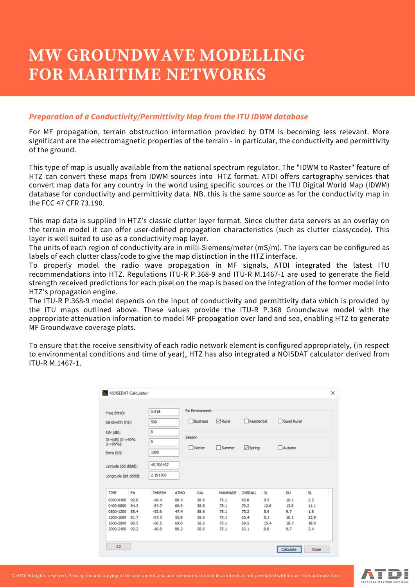#### *Preparation of a Conductivity/Permittivity Map from the ITU IDWM database*

For MF propagation, terrain obstruction information provided by DTM is becoming less relevant. More significant are the electromagnetic properties of the terrain - in particular, the conductivity and permittivity of the ground.

This type of map is usually available from the national spectrum regulator. The "IDWM to Raster" feature of HTZ can convert these maps from IDWM sources into HTZ format. ATDI offers cartography services that convert map data for any country in the world using specific sources or the ITU Digital World Map (IDWM) database for conductivity and permittivity data. NB. this is the same source as for the conductivity map in the FCC 47 CFR 73.190.

This map data is supplied in HTZ's classic clutter layer format. Since clutter data servers as an overlay on the terrain model it can offer user-defined propagation characteristics (such as clutter class/code). This layer is well suited to use as a conductivity map layer.

The units of each region of conductivity are in milli-Siemens/meter (mS/m). The layers can be configured as labels of each clutter class/code to give the map distinction in the HTZ interface.

To properly model the radio wave propagation in MF signals, ATDI integrated the latest ITU recommendations into HTZ. Regulations ITU-R P.368-9 and ITU-R M.1467-1 are used to generate the field strength received predictions for each pixel on the map is based on the integration of the former model into HTZ's propagation engine.

The ITU-R P.368-9 model depends on the input of conductivity and permittivity data which is provided by the ITU maps outlined above. These values provide the ITU-R P.368 Groundwave model with the appropriate attenuation information to model MF propagation over land and sea, enabling HTZ to generate MF Groundwave coverage plots.

To ensure that the receive sensitivity of each radio network element is configured appropriately, (in respect to environmental conditions and time of year), HTZ has also integrated a NOISDAT calculator derived from ITU-R M.1467-1.

| Freq (MHz):<br>Bandwidth (Hz): |      | 0.518<br>500  |             | <b>Rx Environment</b> |                |             |      |               |      |
|--------------------------------|------|---------------|-------------|-----------------------|----------------|-------------|------|---------------|------|
|                                |      |               |             | Business              | $\nabla$ Rural | Residential |      | Ouiet Rural   |      |
| S/N (dB):                      |      | 8             |             |                       |                |             |      |               |      |
| Dt+(dB) (0->90%                |      |               |             | Season                |                |             |      |               |      |
| $3 - > 95%$ :                  |      | 0             |             |                       |                |             |      |               |      |
| Emrp (W):                      |      | 1000          |             | Winter                | □Summer        | Spring      |      | <b>Nutumn</b> |      |
| Latitude (dd.dddd):            |      | 45.700457     |             |                       |                |             |      |               |      |
| Longitude (dd.dddd):           |      | 2.191760      |             |                       |                |             |      |               |      |
|                                |      |               |             |                       |                |             |      |               |      |
|                                |      |               |             |                       |                |             |      |               |      |
| TIME                           | FA   | <b>THRESH</b> | <b>ATMO</b> | <b>GAL</b>            | MANMADE        | OVERALL     | DL.  | <b>DU</b>     | SL.  |
| 0000-0400                      | 92.6 | $-46.4$       | 80.4        | 58.6                  | 75.1           | 82.0        | 9.5  | 10.1          | 2.2  |
| 0400-0800                      | 84.3 | $-54.7$       | 60.9        | 58.6                  | 75.1           | 70.2        | 10.6 | 13.8          | 11.1 |
| 0800-1200                      | 85.4 | $-53.6$       | 47.4        | 58.6                  | 75.1           | 75.2        | 5.9  | 9.7           | 1.5  |
| 1200-1600 81.7                 |      | $-57.3$       | 55.8        | 58.6                  | 75.1           | 65.4        | 8.3  | 16.1          | 22.9 |
| 1600-2000                      | 88.5 | $-50.5$       | 69.0        | 58.6                  | 75.1           | 69.5        | 15.4 | 18.7          | 18.0 |

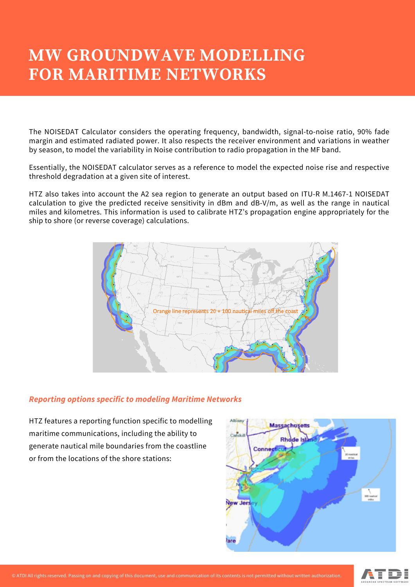The NOISEDAT Calculator considers the operating frequency, bandwidth, signal-to-noise ratio, 90% fade margin and estimated radiated power. It also respects the receiver environment and variations in weather by season, to model the variability in Noise contribution to radio propagation in the MF band.

Essentially, the NOISEDAT calculator serves as a reference to model the expected noise rise and respective threshold degradation at a given site of interest.

HTZ also takes into account the A2 sea region to generate an output based on ITU-R M.1467-1 NOISEDAT calculation to give the predicted receive sensitivity in dBm and dB-V/m, as well as the range in nautical miles and kilometres. This information is used to calibrate HTZ's propagation engine appropriately for the ship to shore (or reverse coverage) calculations.



#### *Reporting options specific to modeling Maritime Networks*

HTZ features a reporting function specific to modelling maritime communications, including the ability to generate nautical mile boundaries from the coastline or from the locations of the shore stations: